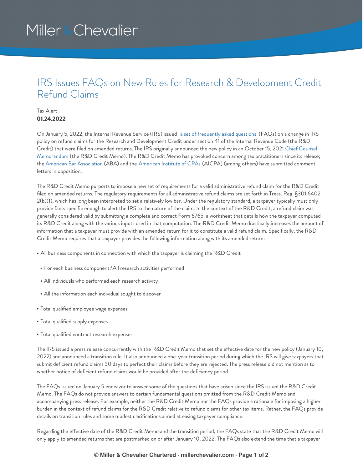# Miller & Chevalier

### IRS Issues FAQs on New Rules for Research & Development Credit Refund Claims

### Tax Alert **01.24.2022**

On January 5, 2022, the Internal Revenue Service (IRS) issued a set of [frequently](https://www.irs.gov/businesses/corporations/research-credit-claims-section-41-on-amended-returns-frequently-asked-questions) asked questions (FAQs) on a change in IRS policy on refund claims for the Research and Development Credit under section 41 of the Internal Revenue Code (the R&D Credit) that were filed on amended returns. The IRS originally announced the new policy in an October 15, 2021 Chief Counsel [Memorandum](https://www.irs.gov/pub/irs-lafa/20214101f.pdf) (the R&D Credit Memo). The R&D Credit Memo has provoked concern among tax practitioners since its release; the American Bar [Association](https://www.americanbar.org/content/dam/aba/administrative/taxation/policy/2022/010622comments.pdf) (ABA) and the [American](https://us.aicpa.org/content/dam/aicpa/advocacy/tax/downloadabledocuments/56175896-aicpa-comments-on-irc-section-41-research-credit-refund-claims-final.pdf) Institute of CPAs (AICPA) (among others) have submitted comment letters in opposition.

The R&D Credit Memo purports to impose a new set of requirements for a valid administrative refund claim for the R&D Credit filed on amended returns. The regulatory requirements for all administrative refund claims are set forth in Treas. Reg. §301.6402- 2(b)(1), which has long been interpreted to set a relatively low bar. Under the regulatory standard, a taxpayer typically must only provide facts specific enough to alert the IRS to the nature of the claim. In the context of the R&D Credit, a refund claim was generally considered valid by submitting a complete and correct Form 6765, a worksheet that details how the taxpayer computed its R&D Credit along with the various inputs used in that computation. The R&D Credit Memo drastically increases the amount of information that a taxpayer must provide with an amended return for it to constitute a valid refund claim. Specifically, the R&D Credit Memo requires that a taxpayer provides the following information along with its amended return:

- All business components in connection with which the taxpayer is claiming the R&D Credit
- For each business component:\All research activities performed
- All individuals who performed each research activity
- All the information each individual sought to discover
- Total qualified employee wage expenses
- Total qualified supply expenses
- Total qualified contract research expenses

The IRS issued a press release concurrently with the R&D Credit Memo that set the effective date for the new policy (January 10, 2022) and announced a transition rule. It also announced a one-year transition period during which the IRS will give taxpayers that submit deficient refund claims 30 days to perfect their claims before they are rejected. The press release did not mention as to whether notice of deficient refund claims would be provided after the deficiency period.

The FAQs issued on January 5 endeavor to answer some of the questions that have arisen since the IRS issued the R&D Credit Memo. The FAQs do not provide answers to certain fundamental questions omitted from the R&D Credit Memo and accompanying press release. For example, neither the R&D Credit Memo nor the FAQs provide a rationale for imposing a higher burden in the context of refund claims for the R&D Credit relative to refund claims for other tax items. Rather, the FAQs provide details on transition rules and some modest clarifications aimed at easing taxpayer compliance.

Regarding the effective date of the R&D Credit Memo and the transition period, the FAQs state that the R&D Credit Memo will only apply to amended returns that are postmarked on or after January 10, 2022. The FAQs also extend the time that a taxpayer

#### **© Miller & Chevalier Chartered · millerchevalier.com · Page 1 of 2**